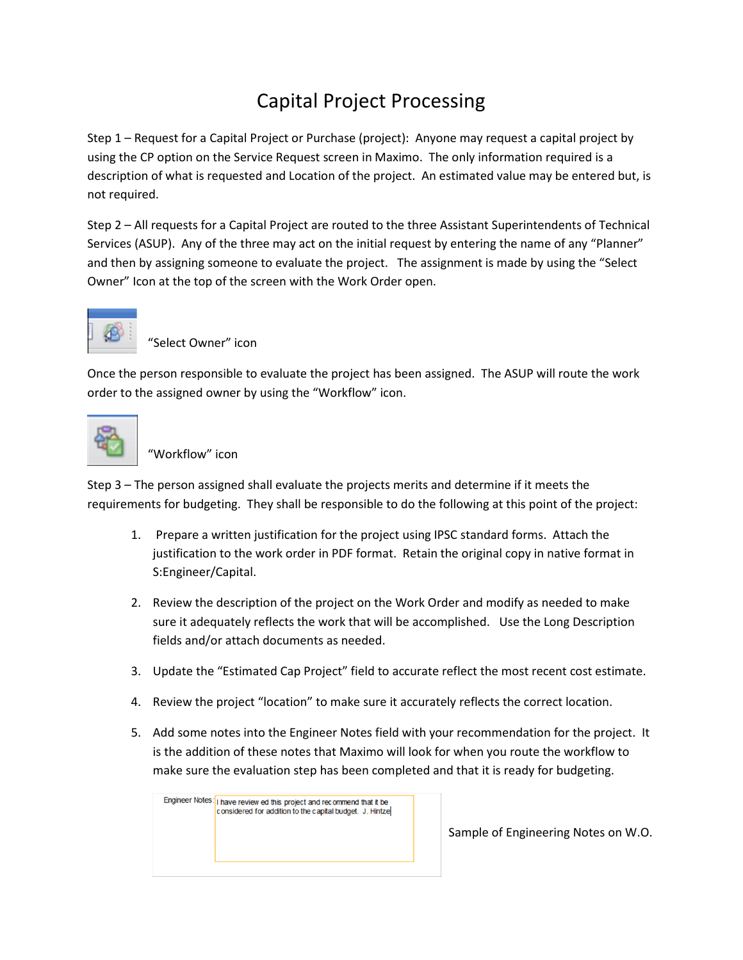## Capital Project Processing

Step 1 – Request for a Capital Project or Purchase (project): Anyone may request a capital project by using the CP option on the Service Request screen in Maximo. The only information required is a description of what is requested and Location of the project. An estimated value may be entered but, is not required.

Step 2 – All requests for a Capital Project are routed to the three Assistant Superintendents of Technical Services (ASUP). Any of the three may act on the initial request by entering the name of any "Planner" and then by assigning someone to evaluate the project. The assignment is made by using the "Select Owner" Icon at the top of the screen with the Work Order open.



"Select Owner" icon

Once the person responsible to evaluate the project has been assigned. The ASUP will route the work order to the assigned owner by using the "Workflow" icon.



"Workflow" icon

Step 3 – The person assigned shall evaluate the projects merits and determine if it meets the requirements for budgeting. They shall be responsible to do the following at this point of the project:

- 1. Prepare a written justification for the project using IPSC standard forms. Attach the justification to the work order in PDF format. Retain the original copy in native format in S:Engineer/Capital.
- 2. Review the description of the project on the Work Order and modify as needed to make sure it adequately reflects the work that will be accomplished. Use the Long Description fields and/or attach documents as needed.
- 3. Update the "Estimated Cap Project" field to accurate reflect the most recent cost estimate.
- 4. Review the project "location" to make sure it accurately reflects the correct location.
- 5. Add some notes into the Engineer Notes field with your recommendation for the project. It is the addition of these notes that Maximo will look for when you route the workflow to make sure the evaluation step has been completed and that it is ready for budgeting.

Engineer Notes: | I have review ed this project and recommend that it be considered for addition to the capital budget. J. Hintze

Sample of Engineering Notes on W.O.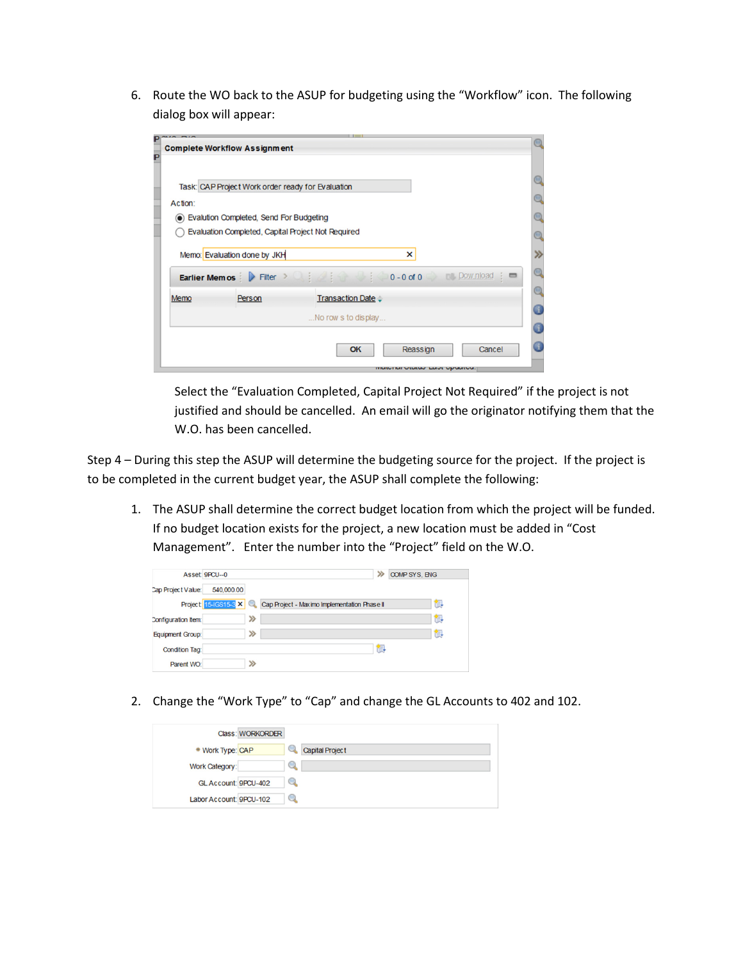6. Route the WO back to the ASUP for budgeting using the "Workflow" icon. The following dialog box will appear:

|                                                                                                          | <b>Complete Workflow Assignment</b>               |                                                        |  |
|----------------------------------------------------------------------------------------------------------|---------------------------------------------------|--------------------------------------------------------|--|
|                                                                                                          | Task: CAP Project Work order ready for Evaluation |                                                        |  |
| Action:<br>Evalution Completed, Send For Budgeting<br>Evaluation Completed, Capital Project Not Required |                                                   |                                                        |  |
|                                                                                                          | Memo: Evaluation done by JKH                      | ×                                                      |  |
|                                                                                                          |                                                   | Earlier Memos Filter > in the state of the Download in |  |
| Memo                                                                                                     | Person                                            | <b>Transaction Date :</b>                              |  |
|                                                                                                          |                                                   | No row s to display                                    |  |
|                                                                                                          |                                                   | Reassign<br>OK<br>Cancel                               |  |

Select the "Evaluation Completed, Capital Project Not Required" if the project is not justified and should be cancelled. An email will go the originator notifying them that the W.O. has been cancelled.

Step 4 – During this step the ASUP will determine the budgeting source for the project. If the project is to be completed in the current budget year, the ASUP shall complete the following:

1. The ASUP shall determine the correct budget location from which the project will be funded. If no budget location exists for the project, a new location must be added in "Cost Management". Enter the number into the "Project" field on the W.O.

|                         | Asset 9PCU--0 |   |                                                                    | ≫ | <b>COMP SYS, ENG</b> |
|-------------------------|---------------|---|--------------------------------------------------------------------|---|----------------------|
| Cap Project Value:      | 540,000.00    |   |                                                                    |   |                      |
|                         |               |   | Project 15-IGS15-3 X Cap Project - Max imo Implementation Phase II |   | 齞                    |
| Configuration Item:     |               | ≫ |                                                                    |   | 齞                    |
| <b>Equipment Group:</b> |               | ≫ |                                                                    |   | 齞                    |
| <b>Condition Tag:</b>   |               |   |                                                                    | 御 |                      |
| Parent WO:              |               | ≫ |                                                                    |   |                      |

2. Change the "Work Type" to "Cap" and change the GL Accounts to 402 and 102.

|                         | <b>Class: WORKORDER</b> |                 |
|-------------------------|-------------------------|-----------------|
| * Work Type: CAP        |                         | Capital Project |
| Work Category:          | Q                       |                 |
| GL Account: 9PCU-402    | Q                       |                 |
| Labor Account: 9PCU-102 | $\circ$                 |                 |